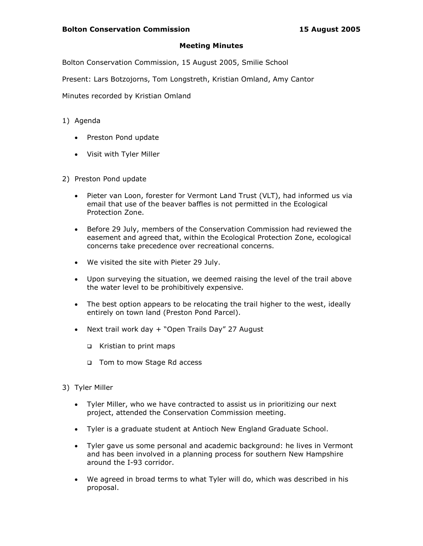## Meeting Minutes

Bolton Conservation Commission, 15 August 2005, Smilie School

Present: Lars Botzojorns, Tom Longstreth, Kristian Omland, Amy Cantor

Minutes recorded by Kristian Omland

- 1) Agenda
	- Preston Pond update
	- Visit with Tyler Miller
- 2) Preston Pond update
	- Pieter van Loon, forester for Vermont Land Trust (VLT), had informed us via email that use of the beaver baffles is not permitted in the Ecological Protection Zone.
	- Before 29 July, members of the Conservation Commission had reviewed the easement and agreed that, within the Ecological Protection Zone, ecological concerns take precedence over recreational concerns.
	- We visited the site with Pieter 29 July.
	- Upon surveying the situation, we deemed raising the level of the trail above the water level to be prohibitively expensive.
	- The best option appears to be relocating the trail higher to the west, ideally entirely on town land (Preston Pond Parcel).
	- Next trail work day + "Open Trails Day" 27 August
		- Kristian to print maps
		- Tom to mow Stage Rd access
- 3) Tyler Miller
	- Tyler Miller, who we have contracted to assist us in prioritizing our next project, attended the Conservation Commission meeting.
	- Tyler is a graduate student at Antioch New England Graduate School.
	- Tyler gave us some personal and academic background: he lives in Vermont and has been involved in a planning process for southern New Hampshire around the I-93 corridor.
	- We agreed in broad terms to what Tyler will do, which was described in his proposal.